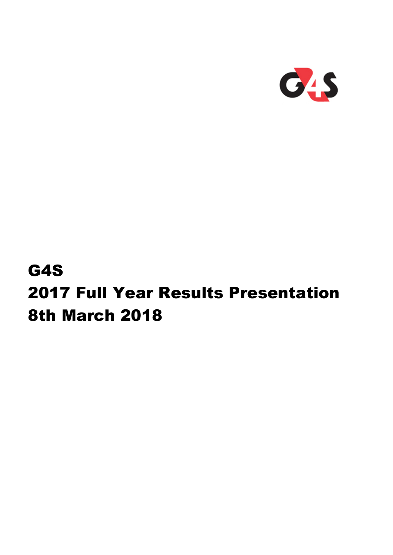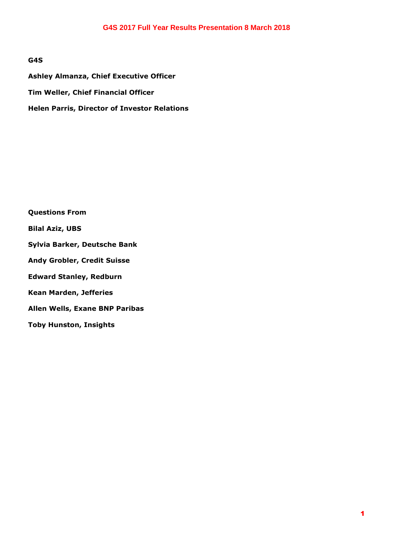## **G4S**

**Ashley Almanza, Chief Executive Officer Tim Weller, Chief Financial Officer Helen Parris, Director of Investor Relations** 

**Questions From Bilal Aziz, UBS Sylvia Barker, Deutsche Bank Andy Grobler, Credit Suisse Edward Stanley, Redburn Kean Marden, Jefferies Allen Wells, Exane BNP Paribas Toby Hunston, Insights**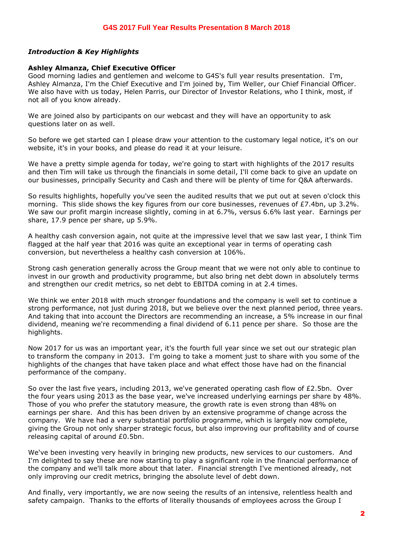## *Introduction & Key Highlights*

#### **Ashley Almanza, Chief Executive Officer**

Good morning ladies and gentlemen and welcome to G4S's full year results presentation. I'm, Ashley Almanza, I'm the Chief Executive and I'm joined by, Tim Weller, our Chief Financial Officer. We also have with us today, Helen Parris, our Director of Investor Relations, who I think, most, if not all of you know already.

We are joined also by participants on our webcast and they will have an opportunity to ask questions later on as well.

So before we get started can I please draw your attention to the customary legal notice, it's on our website, it's in your books, and please do read it at your leisure.

We have a pretty simple agenda for today, we're going to start with highlights of the 2017 results and then Tim will take us through the financials in some detail, I'll come back to give an update on our businesses, principally Security and Cash and there will be plenty of time for Q&A afterwards.

So results highlights, hopefully you've seen the audited results that we put out at seven o'clock this morning. This slide shows the key figures from our core businesses, revenues of £7.4bn, up 3.2%. We saw our profit margin increase slightly, coming in at 6.7%, versus 6.6% last year. Earnings per share, 17.9 pence per share, up 5.9%.

A healthy cash conversion again, not quite at the impressive level that we saw last year, I think Tim flagged at the half year that 2016 was quite an exceptional year in terms of operating cash conversion, but nevertheless a healthy cash conversion at 106%.

Strong cash generation generally across the Group meant that we were not only able to continue to invest in our growth and productivity programme, but also bring net debt down in absolutely terms and strengthen our credit metrics, so net debt to EBITDA coming in at 2.4 times.

We think we enter 2018 with much stronger foundations and the company is well set to continue a strong performance, not just during 2018, but we believe over the next planned period, three years. And taking that into account the Directors are recommending an increase, a 5% increase in our final dividend, meaning we're recommending a final dividend of 6.11 pence per share. So those are the highlights.

Now 2017 for us was an important year, it's the fourth full year since we set out our strategic plan to transform the company in 2013. I'm going to take a moment just to share with you some of the highlights of the changes that have taken place and what effect those have had on the financial performance of the company.

So over the last five years, including 2013, we've generated operating cash flow of £2.5bn. Over the four years using 2013 as the base year, we've increased underlying earnings per share by 48%. Those of you who prefer the statutory measure, the growth rate is even strong than 48% on earnings per share. And this has been driven by an extensive programme of change across the company. We have had a very substantial portfolio programme, which is largely now complete, giving the Group not only sharper strategic focus, but also improving our profitability and of course releasing capital of around £0.5bn.

We've been investing very heavily in bringing new products, new services to our customers. And I'm delighted to say these are now starting to play a significant role in the financial performance of the company and we'll talk more about that later. Financial strength I've mentioned already, not only improving our credit metrics, bringing the absolute level of debt down.

And finally, very importantly, we are now seeing the results of an intensive, relentless health and safety campaign. Thanks to the efforts of literally thousands of employees across the Group I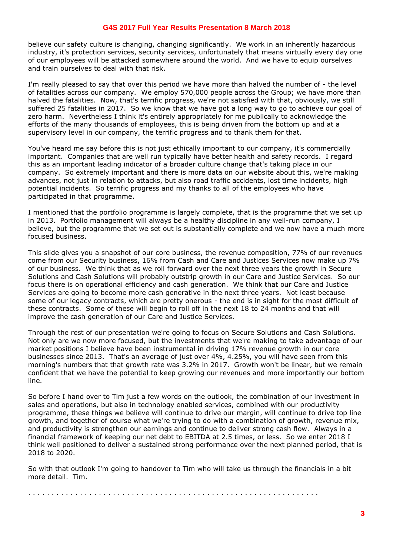believe our safety culture is changing, changing significantly. We work in an inherently hazardous industry, it's protection services, security services, unfortunately that means virtually every day one of our employees will be attacked somewhere around the world. And we have to equip ourselves and train ourselves to deal with that risk.

I'm really pleased to say that over this period we have more than halved the number of - the level of fatalities across our company. We employ 570,000 people across the Group; we have more than halved the fatalities. Now, that's terrific progress, we're not satisfied with that, obviously, we still suffered 25 fatalities in 2017. So we know that we have got a long way to go to achieve our goal of zero harm. Nevertheless I think it's entirely appropriately for me publically to acknowledge the efforts of the many thousands of employees, this is being driven from the bottom up and at a supervisory level in our company, the terrific progress and to thank them for that.

You've heard me say before this is not just ethically important to our company, it's commercially important. Companies that are well run typically have better health and safety records. I regard this as an important leading indicator of a broader culture change that's taking place in our company. So extremely important and there is more data on our website about this, we're making advances, not just in relation to attacks, but also road traffic accidents, lost time incidents, high potential incidents. So terrific progress and my thanks to all of the employees who have participated in that programme.

I mentioned that the portfolio programme is largely complete, that is the programme that we set up in 2013. Portfolio management will always be a healthy discipline in any well-run company, I believe, but the programme that we set out is substantially complete and we now have a much more focused business.

This slide gives you a snapshot of our core business, the revenue composition, 77% of our revenues come from our Security business, 16% from Cash and Care and Justices Services now make up 7% of our business. We think that as we roll forward over the next three years the growth in Secure Solutions and Cash Solutions will probably outstrip growth in our Care and Justice Services. So our focus there is on operational efficiency and cash generation. We think that our Care and Justice Services are going to become more cash generative in the next three years. Not least because some of our legacy contracts, which are pretty onerous - the end is in sight for the most difficult of these contracts. Some of these will begin to roll off in the next 18 to 24 months and that will improve the cash generation of our Care and Justice Services.

Through the rest of our presentation we're going to focus on Secure Solutions and Cash Solutions. Not only are we now more focused, but the investments that we're making to take advantage of our market positions I believe have been instrumental in driving 17% revenue growth in our core businesses since 2013. That's an average of just over 4%, 4.25%, you will have seen from this morning's numbers that that growth rate was 3.2% in 2017. Growth won't be linear, but we remain confident that we have the potential to keep growing our revenues and more importantly our bottom line.

So before I hand over to Tim just a few words on the outlook, the combination of our investment in sales and operations, but also in technology enabled services, combined with our productivity programme, these things we believe will continue to drive our margin, will continue to drive top line growth, and together of course what we're trying to do with a combination of growth, revenue mix, and productivity is strengthen our earnings and continue to deliver strong cash flow. Always in a financial framework of keeping our net debt to EBITDA at 2.5 times, or less. So we enter 2018 I think well positioned to deliver a sustained strong performance over the next planned period, that is 2018 to 2020.

So with that outlook I'm going to handover to Tim who will take us through the financials in a bit more detail. Tim.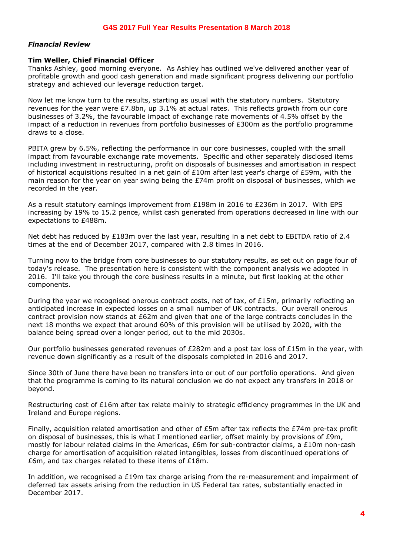## *Financial Review*

## **Tim Weller, Chief Financial Officer**

Thanks Ashley, good morning everyone. As Ashley has outlined we've delivered another year of profitable growth and good cash generation and made significant progress delivering our portfolio strategy and achieved our leverage reduction target.

Now let me know turn to the results, starting as usual with the statutory numbers. Statutory revenues for the year were £7.8bn, up 3.1% at actual rates. This reflects growth from our core businesses of 3.2%, the favourable impact of exchange rate movements of 4.5% offset by the impact of a reduction in revenues from portfolio businesses of £300m as the portfolio programme draws to a close.

PBITA grew by 6.5%, reflecting the performance in our core businesses, coupled with the small impact from favourable exchange rate movements. Specific and other separately disclosed items including investment in restructuring, profit on disposals of businesses and amortisation in respect of historical acquisitions resulted in a net gain of  $£10m$  after last year's charge of £59m, with the main reason for the year on year swing being the £74m profit on disposal of businesses, which we recorded in the year.

As a result statutory earnings improvement from £198m in 2016 to £236m in 2017. With EPS increasing by 19% to 15.2 pence, whilst cash generated from operations decreased in line with our expectations to £488m.

Net debt has reduced by £183m over the last year, resulting in a net debt to EBITDA ratio of 2.4 times at the end of December 2017, compared with 2.8 times in 2016.

Turning now to the bridge from core businesses to our statutory results, as set out on page four of today's release. The presentation here is consistent with the component analysis we adopted in 2016. I'll take you through the core business results in a minute, but first looking at the other components.

During the year we recognised onerous contract costs, net of tax, of £15m, primarily reflecting an anticipated increase in expected losses on a small number of UK contracts. Our overall onerous contract provision now stands at £62m and given that one of the large contracts concludes in the next 18 months we expect that around 60% of this provision will be utilised by 2020, with the balance being spread over a longer period, out to the mid 2030s.

Our portfolio businesses generated revenues of £282m and a post tax loss of £15m in the year, with revenue down significantly as a result of the disposals completed in 2016 and 2017.

Since 30th of June there have been no transfers into or out of our portfolio operations. And given that the programme is coming to its natural conclusion we do not expect any transfers in 2018 or beyond.

Restructuring cost of £16m after tax relate mainly to strategic efficiency programmes in the UK and Ireland and Europe regions.

Finally, acquisition related amortisation and other of £5m after tax reflects the £74m pre-tax profit on disposal of businesses, this is what I mentioned earlier, offset mainly by provisions of £9m, mostly for labour related claims in the Americas, £6m for sub-contractor claims, a £10m non-cash charge for amortisation of acquisition related intangibles, losses from discontinued operations of £6m, and tax charges related to these items of £18m.

In addition, we recognised a £19m tax charge arising from the re-measurement and impairment of deferred tax assets arising from the reduction in US Federal tax rates, substantially enacted in December 2017.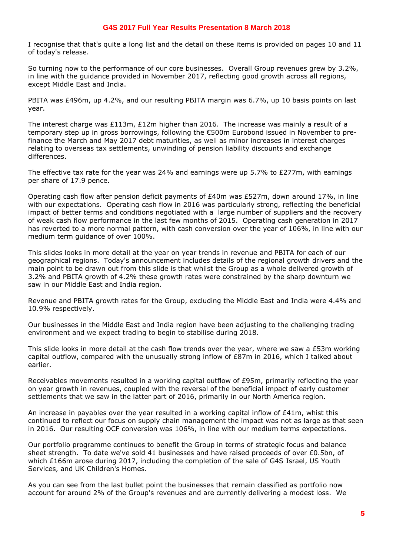I recognise that that's quite a long list and the detail on these items is provided on pages 10 and 11 of today's release.

So turning now to the performance of our core businesses. Overall Group revenues grew by 3.2%, in line with the guidance provided in November 2017, reflecting good growth across all regions, except Middle East and India.

PBITA was £496m, up 4.2%, and our resulting PBITA margin was 6.7%, up 10 basis points on last year.

The interest charge was £113m, £12m higher than 2016. The increase was mainly a result of a temporary step up in gross borrowings, following the €500m Eurobond issued in November to prefinance the March and May 2017 debt maturities, as well as minor increases in interest charges relating to overseas tax settlements, unwinding of pension liability discounts and exchange differences.

The effective tax rate for the year was 24% and earnings were up 5.7% to £277m, with earnings per share of 17.9 pence.

Operating cash flow after pension deficit payments of £40m was £527m, down around 17%, in line with our expectations. Operating cash flow in 2016 was particularly strong, reflecting the beneficial impact of better terms and conditions negotiated with a large number of suppliers and the recovery of weak cash flow performance in the last few months of 2015. Operating cash generation in 2017 has reverted to a more normal pattern, with cash conversion over the year of 106%, in line with our medium term guidance of over 100%.

This slides looks in more detail at the year on year trends in revenue and PBITA for each of our geographical regions. Today's announcement includes details of the regional growth drivers and the main point to be drawn out from this slide is that whilst the Group as a whole delivered growth of 3.2% and PBITA growth of 4.2% these growth rates were constrained by the sharp downturn we saw in our Middle East and India region.

Revenue and PBITA growth rates for the Group, excluding the Middle East and India were 4.4% and 10.9% respectively.

Our businesses in the Middle East and India region have been adjusting to the challenging trading environment and we expect trading to begin to stabilise during 2018.

This slide looks in more detail at the cash flow trends over the year, where we saw a £53m working capital outflow, compared with the unusually strong inflow of £87m in 2016, which I talked about earlier.

Receivables movements resulted in a working capital outflow of £95m, primarily reflecting the year on year growth in revenues, coupled with the reversal of the beneficial impact of early customer settlements that we saw in the latter part of 2016, primarily in our North America region.

An increase in payables over the year resulted in a working capital inflow of £41m, whist this continued to reflect our focus on supply chain management the impact was not as large as that seen in 2016. Our resulting OCF conversion was 106%, in line with our medium terms expectations.

Our portfolio programme continues to benefit the Group in terms of strategic focus and balance sheet strength. To date we've sold 41 businesses and have raised proceeds of over £0.5bn, of which £166m arose during 2017, including the completion of the sale of G4S Israel, US Youth Services, and UK Children's Homes.

As you can see from the last bullet point the businesses that remain classified as portfolio now account for around 2% of the Group's revenues and are currently delivering a modest loss. We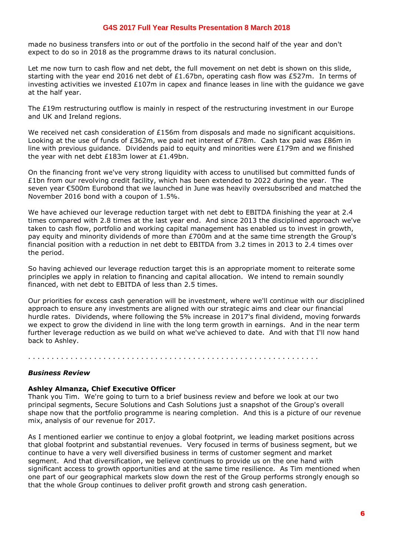made no business transfers into or out of the portfolio in the second half of the year and don't expect to do so in 2018 as the programme draws to its natural conclusion.

Let me now turn to cash flow and net debt, the full movement on net debt is shown on this slide, starting with the year end 2016 net debt of £1.67bn, operating cash flow was £527m. In terms of investing activities we invested £107m in capex and finance leases in line with the guidance we gave at the half year.

The £19m restructuring outflow is mainly in respect of the restructuring investment in our Europe and UK and Ireland regions.

We received net cash consideration of £156m from disposals and made no significant acquisitions. Looking at the use of funds of £362m, we paid net interest of £78m. Cash tax paid was £86m in line with previous quidance. Dividends paid to equity and minorities were  $£179m$  and we finished the year with net debt £183m lower at £1.49bn.

On the financing front we've very strong liquidity with access to unutilised but committed funds of £1bn from our revolving credit facility, which has been extended to 2022 during the year. The seven year €500m Eurobond that we launched in June was heavily oversubscribed and matched the November 2016 bond with a coupon of 1.5%.

We have achieved our leverage reduction target with net debt to EBITDA finishing the year at 2.4 times compared with 2.8 times at the last year end. And since 2013 the disciplined approach we've taken to cash flow, portfolio and working capital management has enabled us to invest in growth, pay equity and minority dividends of more than £700m and at the same time strength the Group's financial position with a reduction in net debt to EBITDA from 3.2 times in 2013 to 2.4 times over the period.

So having achieved our leverage reduction target this is an appropriate moment to reiterate some principles we apply in relation to financing and capital allocation. We intend to remain soundly financed, with net debt to EBITDA of less than 2.5 times.

Our priorities for excess cash generation will be investment, where we'll continue with our disciplined approach to ensure any investments are aligned with our strategic aims and clear our financial hurdle rates. Dividends, where following the 5% increase in 2017's final dividend, moving forwards we expect to grow the dividend in line with the long term growth in earnings. And in the near term further leverage reduction as we build on what we've achieved to date. And with that I'll now hand back to Ashley.

. . . . . . . . . . . . . . . . . . . . . . . . . . . . . . . . . . . . . . . . . . . . . . . . . . . . . . . . . . . . . .

## *Business Review*

## **Ashley Almanza, Chief Executive Officer**

Thank you Tim. We're going to turn to a brief business review and before we look at our two principal segments, Secure Solutions and Cash Solutions just a snapshot of the Group's overall shape now that the portfolio programme is nearing completion. And this is a picture of our revenue mix, analysis of our revenue for 2017.

As I mentioned earlier we continue to enjoy a global footprint, we leading market positions across that global footprint and substantial revenues. Very focused in terms of business segment, but we continue to have a very well diversified business in terms of customer segment and market segment. And that diversification, we believe continues to provide us on the one hand with significant access to growth opportunities and at the same time resilience. As Tim mentioned when one part of our geographical markets slow down the rest of the Group performs strongly enough so that the whole Group continues to deliver profit growth and strong cash generation.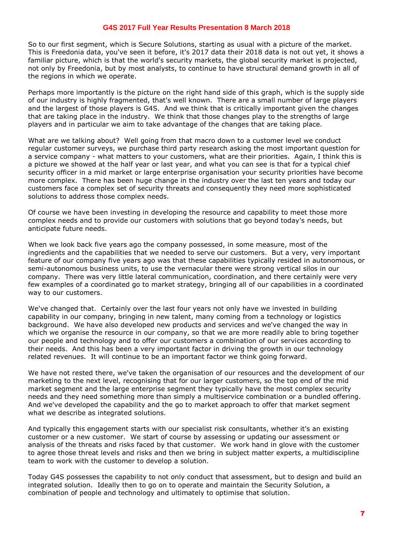So to our first segment, which is Secure Solutions, starting as usual with a picture of the market. This is Freedonia data, you've seen it before, it's 2017 data their 2018 data is not out yet, it shows a familiar picture, which is that the world's security markets, the global security market is projected, not only by Freedonia, but by most analysts, to continue to have structural demand growth in all of the regions in which we operate.

Perhaps more importantly is the picture on the right hand side of this graph, which is the supply side of our industry is highly fragmented, that's well known. There are a small number of large players and the largest of those players is G4S. And we think that is critically important given the changes that are taking place in the industry. We think that those changes play to the strengths of large players and in particular we aim to take advantage of the changes that are taking place.

What are we talking about? Well going from that macro down to a customer level we conduct regular customer surveys, we purchase third party research asking the most important question for a service company - what matters to your customers, what are their priorities. Again, I think this is a picture we showed at the half year or last year, and what you can see is that for a typical chief security officer in a mid market or large enterprise organisation your security priorities have become more complex. There has been huge change in the industry over the last ten years and today our customers face a complex set of security threats and consequently they need more sophisticated solutions to address those complex needs.

Of course we have been investing in developing the resource and capability to meet those more complex needs and to provide our customers with solutions that go beyond today's needs, but anticipate future needs.

When we look back five years ago the company possessed, in some measure, most of the ingredients and the capabilities that we needed to serve our customers. But a very, very important feature of our company five years ago was that these capabilities typically resided in autonomous, or semi-autonomous business units, to use the vernacular there were strong vertical silos in our company. There was very little lateral communication, coordination, and there certainly were very few examples of a coordinated go to market strategy, bringing all of our capabilities in a coordinated way to our customers.

We've changed that. Certainly over the last four years not only have we invested in building capability in our company, bringing in new talent, many coming from a technology or logistics background. We have also developed new products and services and we've changed the way in which we organise the resource in our company, so that we are more readily able to bring together our people and technology and to offer our customers a combination of our services according to their needs. And this has been a very important factor in driving the growth in our technology related revenues. It will continue to be an important factor we think going forward.

We have not rested there, we've taken the organisation of our resources and the development of our marketing to the next level, recognising that for our larger customers, so the top end of the mid market segment and the large enterprise segment they typically have the most complex security needs and they need something more than simply a multiservice combination or a bundled offering. And we've developed the capability and the go to market approach to offer that market segment what we describe as integrated solutions.

And typically this engagement starts with our specialist risk consultants, whether it's an existing customer or a new customer. We start of course by assessing or updating our assessment or analysis of the threats and risks faced by that customer. We work hand in glove with the customer to agree those threat levels and risks and then we bring in subject matter experts, a multidiscipline team to work with the customer to develop a solution.

Today G4S possesses the capability to not only conduct that assessment, but to design and build an integrated solution. Ideally then to go on to operate and maintain the Security Solution, a combination of people and technology and ultimately to optimise that solution.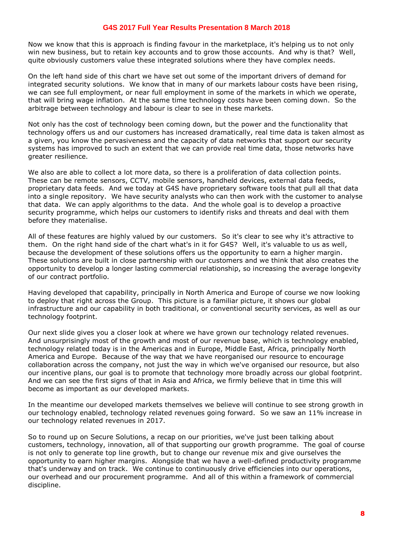Now we know that this is approach is finding favour in the marketplace, it's helping us to not only win new business, but to retain key accounts and to grow those accounts. And why is that? Well, quite obviously customers value these integrated solutions where they have complex needs.

On the left hand side of this chart we have set out some of the important drivers of demand for integrated security solutions. We know that in many of our markets labour costs have been rising, we can see full employment, or near full employment in some of the markets in which we operate, that will bring wage inflation. At the same time technology costs have been coming down. So the arbitrage between technology and labour is clear to see in these markets.

Not only has the cost of technology been coming down, but the power and the functionality that technology offers us and our customers has increased dramatically, real time data is taken almost as a given, you know the pervasiveness and the capacity of data networks that support our security systems has improved to such an extent that we can provide real time data, those networks have greater resilience.

We also are able to collect a lot more data, so there is a proliferation of data collection points. These can be remote sensors, CCTV, mobile sensors, handheld devices, external data feeds, proprietary data feeds. And we today at G4S have proprietary software tools that pull all that data into a single repository. We have security analysts who can then work with the customer to analyse that data. We can apply algorithms to the data. And the whole goal is to develop a proactive security programme, which helps our customers to identify risks and threats and deal with them before they materialise.

All of these features are highly valued by our customers. So it's clear to see why it's attractive to them. On the right hand side of the chart what's in it for G4S? Well, it's valuable to us as well, because the development of these solutions offers us the opportunity to earn a higher margin. These solutions are built in close partnership with our customers and we think that also creates the opportunity to develop a longer lasting commercial relationship, so increasing the average longevity of our contract portfolio.

Having developed that capability, principally in North America and Europe of course we now looking to deploy that right across the Group. This picture is a familiar picture, it shows our global infrastructure and our capability in both traditional, or conventional security services, as well as our technology footprint.

Our next slide gives you a closer look at where we have grown our technology related revenues. And unsurprisingly most of the growth and most of our revenue base, which is technology enabled, technology related today is in the Americas and in Europe, Middle East, Africa, principally North America and Europe. Because of the way that we have reorganised our resource to encourage collaboration across the company, not just the way in which we've organised our resource, but also our incentive plans, our goal is to promote that technology more broadly across our global footprint. And we can see the first signs of that in Asia and Africa, we firmly believe that in time this will become as important as our developed markets.

In the meantime our developed markets themselves we believe will continue to see strong growth in our technology enabled, technology related revenues going forward. So we saw an 11% increase in our technology related revenues in 2017.

So to round up on Secure Solutions, a recap on our priorities, we've just been talking about customers, technology, innovation, all of that supporting our growth programme. The goal of course is not only to generate top line growth, but to change our revenue mix and give ourselves the opportunity to earn higher margins. Alongside that we have a well-defined productivity programme that's underway and on track. We continue to continuously drive efficiencies into our operations, our overhead and our procurement programme. And all of this within a framework of commercial discipline.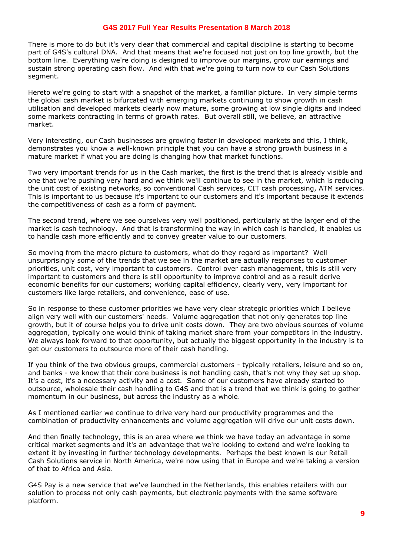There is more to do but it's very clear that commercial and capital discipline is starting to become part of G4S's cultural DNA. And that means that we're focused not just on top line growth, but the bottom line. Everything we're doing is designed to improve our margins, grow our earnings and sustain strong operating cash flow. And with that we're going to turn now to our Cash Solutions segment.

Hereto we're going to start with a snapshot of the market, a familiar picture. In very simple terms the global cash market is bifurcated with emerging markets continuing to show growth in cash utilisation and developed markets clearly now mature, some growing at low single digits and indeed some markets contracting in terms of growth rates. But overall still, we believe, an attractive market.

Very interesting, our Cash businesses are growing faster in developed markets and this, I think, demonstrates you know a well-known principle that you can have a strong growth business in a mature market if what you are doing is changing how that market functions.

Two very important trends for us in the Cash market, the first is the trend that is already visible and one that we're pushing very hard and we think we'll continue to see in the market, which is reducing the unit cost of existing networks, so conventional Cash services, CIT cash processing, ATM services. This is important to us because it's important to our customers and it's important because it extends the competitiveness of cash as a form of payment.

The second trend, where we see ourselves very well positioned, particularly at the larger end of the market is cash technology. And that is transforming the way in which cash is handled, it enables us to handle cash more efficiently and to convey greater value to our customers.

So moving from the macro picture to customers, what do they regard as important? Well unsurprisingly some of the trends that we see in the market are actually responses to customer priorities, unit cost, very important to customers. Control over cash management, this is still very important to customers and there is still opportunity to improve control and as a result derive economic benefits for our customers; working capital efficiency, clearly very, very important for customers like large retailers, and convenience, ease of use.

So in response to these customer priorities we have very clear strategic priorities which I believe align very well with our customers' needs. Volume aggregation that not only generates top line growth, but it of course helps you to drive unit costs down. They are two obvious sources of volume aggregation, typically one would think of taking market share from your competitors in the industry. We always look forward to that opportunity, but actually the biggest opportunity in the industry is to get our customers to outsource more of their cash handling.

If you think of the two obvious groups, commercial customers - typically retailers, leisure and so on, and banks - we know that their core business is not handling cash, that's not why they set up shop. It's a cost, it's a necessary activity and a cost. Some of our customers have already started to outsource, wholesale their cash handling to G4S and that is a trend that we think is going to gather momentum in our business, but across the industry as a whole.

As I mentioned earlier we continue to drive very hard our productivity programmes and the combination of productivity enhancements and volume aggregation will drive our unit costs down.

And then finally technology, this is an area where we think we have today an advantage in some critical market segments and it's an advantage that we're looking to extend and we're looking to extent it by investing in further technology developments. Perhaps the best known is our Retail Cash Solutions service in North America, we're now using that in Europe and we're taking a version of that to Africa and Asia.

G4S Pay is a new service that we've launched in the Netherlands, this enables retailers with our solution to process not only cash payments, but electronic payments with the same software platform.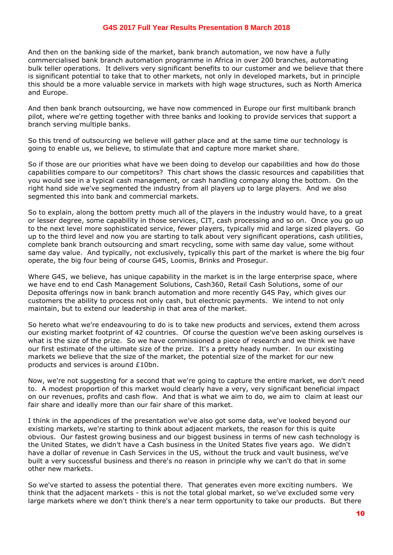And then on the banking side of the market, bank branch automation, we now have a fully commercialised bank branch automation programme in Africa in over 200 branches, automating bulk teller operations. It delivers very significant benefits to our customer and we believe that there is significant potential to take that to other markets, not only in developed markets, but in principle this should be a more valuable service in markets with high wage structures, such as North America and Europe.

And then bank branch outsourcing, we have now commenced in Europe our first multibank branch pilot, where we're getting together with three banks and looking to provide services that support a branch serving multiple banks.

So this trend of outsourcing we believe will gather place and at the same time our technology is going to enable us, we believe, to stimulate that and capture more market share.

So if those are our priorities what have we been doing to develop our capabilities and how do those capabilities compare to our competitors? This chart shows the classic resources and capabilities that you would see in a typical cash management, or cash handling company along the bottom. On the right hand side we've segmented the industry from all players up to large players. And we also segmented this into bank and commercial markets.

So to explain, along the bottom pretty much all of the players in the industry would have, to a great or lesser degree, some capability in those services, CIT, cash processing and so on. Once you go up to the next level more sophisticated service, fewer players, typically mid and large sized players. Go up to the third level and now you are starting to talk about very significant operations, cash utilities, complete bank branch outsourcing and smart recycling, some with same day value, some without same day value. And typically, not exclusively, typically this part of the market is where the big four operate, the big four being of course G4S, Loomis, Brinks and Prosegur.

Where G4S, we believe, has unique capability in the market is in the large enterprise space, where we have end to end Cash Management Solutions, Cash360, Retail Cash Solutions, some of our Deposita offerings now in bank branch automation and more recently G4S Pay, which gives our customers the ability to process not only cash, but electronic payments. We intend to not only maintain, but to extend our leadership in that area of the market.

So hereto what we're endeavouring to do is to take new products and services, extend them across our existing market footprint of 42 countries. Of course the question we've been asking ourselves is what is the size of the prize. So we have commissioned a piece of research and we think we have our first estimate of the ultimate size of the prize. It's a pretty heady number. In our existing markets we believe that the size of the market, the potential size of the market for our new products and services is around £10bn.

Now, we're not suggesting for a second that we're going to capture the entire market, we don't need to. A modest proportion of this market would clearly have a very, very significant beneficial impact on our revenues, profits and cash flow. And that is what we aim to do, we aim to claim at least our fair share and ideally more than our fair share of this market.

I think in the appendices of the presentation we've also got some data, we've looked beyond our existing markets, we're starting to think about adjacent markets, the reason for this is quite obvious. Our fastest growing business and our biggest business in terms of new cash technology is the United States, we didn't have a Cash business in the United States five years ago. We didn't have a dollar of revenue in Cash Services in the US, without the truck and vault business, we've built a very successful business and there's no reason in principle why we can't do that in some other new markets.

So we've started to assess the potential there. That generates even more exciting numbers. We think that the adjacent markets - this is not the total global market, so we've excluded some very large markets where we don't think there's a near term opportunity to take our products. But there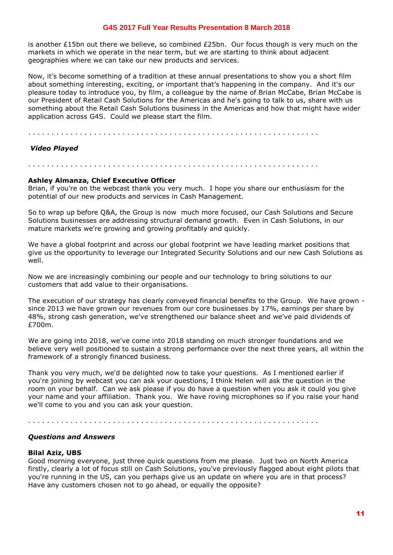is another £15bn out there we believe, so combined  $£25$ bn. Our focus though is very much on the markets in which we operate in the near term, but we are starting to think about adjacent geographies where we can take our new products and services.

Now, it's become something of a tradition at these annual presentations to show you a short film about something interesting, exciting, or important that's happening in the company. And it's our pleasure today to introduce you, by film, a colleague by the name of Brian McCabe, Brian McCabe is our President of Retail Cash Solutions for the Americas and he's going to talk to us, share with us something about the Retail Cash Solutions business in the Americas and how that might have wider application across G4S. Could we please start the film.

. . . . . . . . . . . . . . . . . . . . . . . . . . . . . . . . . . . . . . . . . . . . . . . . . . . . . . . . . . . . . .

## *Video Played*

## . . . . . . . . . . . . . . . . . . . . . . . . . . . . . . . . . . . . . . . . . . . . . . . . . . . . . . . . . . . . . .

#### **Ashley Almanza, Chief Executive Officer**

Brian, if you're on the webcast thank you very much. I hope you share our enthusiasm for the potential of our new products and services in Cash Management.

So to wrap up before Q&A, the Group is now much more focused, our Cash Solutions and Secure Solutions businesses are addressing structural demand growth. Even in Cash Solutions, in our mature markets we're growing and growing profitably and quickly.

We have a global footprint and across our global footprint we have leading market positions that give us the opportunity to leverage our Integrated Security Solutions and our new Cash Solutions as well.

Now we are increasingly combining our people and our technology to bring solutions to our customers that add value to their organisations.

The execution of our strategy has clearly conveyed financial benefits to the Group. We have grown since 2013 we have grown our revenues from our core businesses by 17%, earnings per share by 48%, strong cash generation, we've strengthened our balance sheet and we've paid dividends of £700m.

We are going into 2018, we've come into 2018 standing on much stronger foundations and we believe very well positioned to sustain a strong performance over the next three years, all within the framework of a strongly financed business.

Thank you very much, we'd be delighted now to take your questions. As I mentioned earlier if you're joining by webcast you can ask your questions, I think Helen will ask the question in the room on your behalf. Can we ask please if you do have a question when you ask it could you give your name and your affiliation. Thank you. We have roving microphones so if you raise your hand we'll come to you and you can ask your question.

. . . . . . . . . . . . . . . . . . . . . . . . . . . . . . . . . . . . . . . . . . . . . . . . . . . . . . . . . . . . . .

## *Questions and Answers*

#### **Bilal Aziz, UBS**

Good morning everyone, just three quick questions from me please. Just two on North America firstly, clearly a lot of focus still on Cash Solutions, you've previously flagged about eight pilots that you're running in the US, can you perhaps give us an update on where you are in that process? Have any customers chosen not to go ahead, or equally the opposite?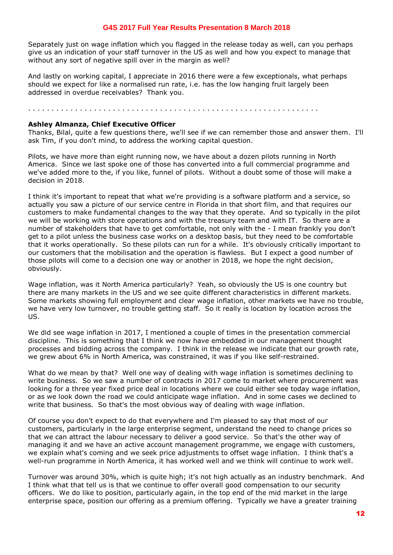Separately just on wage inflation which you flagged in the release today as well, can you perhaps give us an indication of your staff turnover in the US as well and how you expect to manage that without any sort of negative spill over in the margin as well?

And lastly on working capital, I appreciate in 2016 there were a few exceptionals, what perhaps should we expect for like a normalised run rate, i.e. has the low hanging fruit largely been addressed in overdue receivables? Thank you.

#### . . . . . . . . . . . . . . . . . . . . . . . . . . . . . . . . . . . . . . . . . . . . . . . . . . . . . . . . . . . . . .

#### **Ashley Almanza, Chief Executive Officer**

Thanks, Bilal, quite a few questions there, we'll see if we can remember those and answer them. I'll ask Tim, if you don't mind, to address the working capital question.

Pilots, we have more than eight running now, we have about a dozen pilots running in North America. Since we last spoke one of those has converted into a full commercial programme and we've added more to the, if you like, funnel of pilots. Without a doubt some of those will make a decision in 2018.

I think it's important to repeat that what we're providing is a software platform and a service, so actually you saw a picture of our service centre in Florida in that short film, and that requires our customers to make fundamental changes to the way that they operate. And so typically in the pilot we will be working with store operations and with the treasury team and with IT. So there are a number of stakeholders that have to get comfortable, not only with the - I mean frankly you don't get to a pilot unless the business case works on a desktop basis, but they need to be comfortable that it works operationally. So these pilots can run for a while. It's obviously critically important to our customers that the mobilisation and the operation is flawless. But I expect a good number of those pilots will come to a decision one way or another in 2018, we hope the right decision, obviously.

Wage inflation, was it North America particularly? Yeah, so obviously the US is one country but there are many markets in the US and we see quite different characteristics in different markets. Some markets showing full employment and clear wage inflation, other markets we have no trouble, we have very low turnover, no trouble getting staff. So it really is location by location across the US.

We did see wage inflation in 2017, I mentioned a couple of times in the presentation commercial discipline. This is something that I think we now have embedded in our management thought processes and bidding across the company. I think in the release we indicate that our growth rate, we grew about 6% in North America, was constrained, it was if you like self-restrained.

What do we mean by that? Well one way of dealing with wage inflation is sometimes declining to write business. So we saw a number of contracts in 2017 come to market where procurement was looking for a three year fixed price deal in locations where we could either see today wage inflation, or as we look down the road we could anticipate wage inflation. And in some cases we declined to write that business. So that's the most obvious way of dealing with wage inflation.

Of course you don't expect to do that everywhere and I'm pleased to say that most of our customers, particularly in the large enterprise segment, understand the need to change prices so that we can attract the labour necessary to deliver a good service. So that's the other way of managing it and we have an active account management programme, we engage with customers, we explain what's coming and we seek price adjustments to offset wage inflation. I think that's a well-run programme in North America, it has worked well and we think will continue to work well.

Turnover was around 30%, which is quite high; it's not high actually as an industry benchmark. And I think what that tell us is that we continue to offer overall good compensation to our security officers. We do like to position, particularly again, in the top end of the mid market in the large enterprise space, position our offering as a premium offering. Typically we have a greater training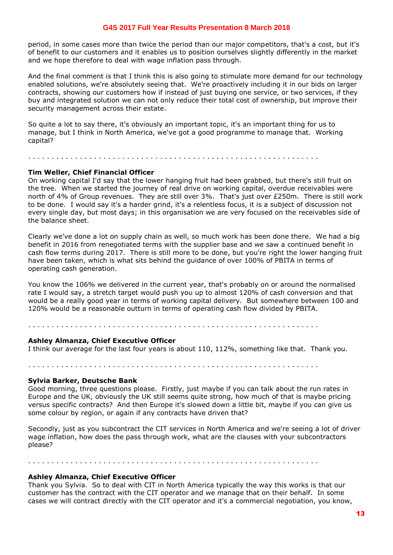period, in some cases more than twice the period than our major competitors, that's a cost, but it's of benefit to our customers and it enables us to position ourselves slightly differently in the market and we hope therefore to deal with wage inflation pass through.

And the final comment is that I think this is also going to stimulate more demand for our technology enabled solutions, we're absolutely seeing that. We're proactively including it in our bids on larger contracts, showing our customers how if instead of just buying one service, or two services, if they buy and integrated solution we can not only reduce their total cost of ownership, but improve their security management across their estate.

So quite a lot to say there, it's obviously an important topic, it's an important thing for us to manage, but I think in North America, we've got a good programme to manage that. Working capital?

. . . . . . . . . . . . . . . . . . . . . . . . . . . . . . . . . . . . . . . . . . . . . . . . . . . . . . . . . . . . . .

#### **Tim Weller, Chief Financial Officer**

On working capital I'd say that the lower hanging fruit had been grabbed, but there's still fruit on the tree. When we started the journey of real drive on working capital, overdue receivables were north of 4% of Group revenues. They are still over 3%. That's just over £250m. There is still work to be done. I would say it's a harder grind, it's a relentless focus, it is a subject of discussion not every single day, but most days; in this organisation we are very focused on the receivables side of the balance sheet.

Clearly we've done a lot on supply chain as well, so much work has been done there. We had a big benefit in 2016 from renegotiated terms with the supplier base and we saw a continued benefit in cash flow terms during 2017. There is still more to be done, but you're right the lower hanging fruit have been taken, which is what sits behind the guidance of over 100% of PBITA in terms of operating cash generation.

You know the 106% we delivered in the current year, that's probably on or around the normalised rate I would say, a stretch target would push you up to almost 120% of cash conversion and that would be a really good year in terms of working capital delivery. But somewhere between 100 and 120% would be a reasonable outturn in terms of operating cash flow divided by PBITA.

. . . . . . . . . . . . . . . . . . . . . . . . . . . . . . . . . . . . . . . . . . . . . . . . . . . . . . . . . . . . . .

#### **Ashley Almanza, Chief Executive Officer**

I think our average for the last four years is about 110, 112%, something like that. Thank you.

. . . . . . . . . . . . . . . . . . . . . . . . . . . . . . . . . . . . . . . . . . . . . . . . . . . . . . . . . . . . . .

#### **Sylvia Barker, Deutsche Bank**

Good morning, three questions please. Firstly, just maybe if you can talk about the run rates in Europe and the UK, obviously the UK still seems quite strong, how much of that is maybe pricing versus specific contracts? And then Europe it's slowed down a little bit, maybe if you can give us some colour by region, or again if any contracts have driven that?

Secondly, just as you subcontract the CIT services in North America and we're seeing a lot of driver wage inflation, how does the pass through work, what are the clauses with your subcontractors please?

. . . . . . . . . . . . . . . . . . . . . . . . . . . . . . . . . . . . . . . . . . . . . . . . . . . . . . . . . . . . . .

#### **Ashley Almanza, Chief Executive Officer**

Thank you Sylvia. So to deal with CIT in North America typically the way this works is that our customer has the contract with the CIT operator and we manage that on their behalf. In some cases we will contract directly with the CIT operator and it's a commercial negotiation, you know,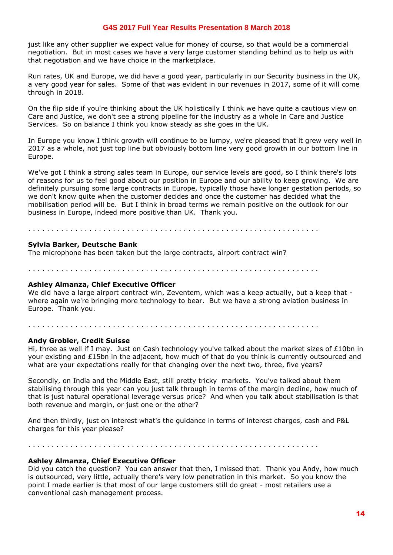just like any other supplier we expect value for money of course, so that would be a commercial negotiation. But in most cases we have a very large customer standing behind us to help us with that negotiation and we have choice in the marketplace.

Run rates, UK and Europe, we did have a good year, particularly in our Security business in the UK, a very good year for sales. Some of that was evident in our revenues in 2017, some of it will come through in 2018.

On the flip side if you're thinking about the UK holistically I think we have quite a cautious view on Care and Justice, we don't see a strong pipeline for the industry as a whole in Care and Justice Services. So on balance I think you know steady as she goes in the UK.

In Europe you know I think growth will continue to be lumpy, we're pleased that it grew very well in 2017 as a whole, not just top line but obviously bottom line very good growth in our bottom line in Europe.

We've got I think a strong sales team in Europe, our service levels are good, so I think there's lots of reasons for us to feel good about our position in Europe and our ability to keep growing. We are definitely pursuing some large contracts in Europe, typically those have longer gestation periods, so we don't know quite when the customer decides and once the customer has decided what the mobilisation period will be. But I think in broad terms we remain positive on the outlook for our business in Europe, indeed more positive than UK. Thank you.

. . . . . . . . . . . . . . . . . . . . . . . . . . . . . . . . . . . . . . . . . . . . . . . . . . . . . . . . . . . . . .

#### **Sylvia Barker, Deutsche Bank**

The microphone has been taken but the large contracts, airport contract win?

. . . . . . . . . . . . . . . . . . . . . . . . . . . . . . . . . . . . . . . . . . . . . . . . . . . . . . . . . . . . . .

#### **Ashley Almanza, Chief Executive Officer**

We did have a large airport contract win, Zeventem, which was a keep actually, but a keep that where again we're bringing more technology to bear. But we have a strong aviation business in Europe. Thank you.

# . . . . . . . . . . . . . . . . . . . . . . . . . . . . . . . . . . . . . . . . . . . . . . . . . . . . . . . . . . . . . .

#### **Andy Grobler, Credit Suisse**

Hi, three as well if I may. Just on Cash technology you've talked about the market sizes of £10bn in your existing and £15bn in the adjacent, how much of that do you think is currently outsourced and what are your expectations really for that changing over the next two, three, five years?

Secondly, on India and the Middle East, still pretty tricky markets. You've talked about them stabilising through this year can you just talk through in terms of the margin decline, how much of that is just natural operational leverage versus price? And when you talk about stabilisation is that both revenue and margin, or just one or the other?

And then thirdly, just on interest what's the guidance in terms of interest charges, cash and P&L charges for this year please?

. . . . . . . . . . . . . . . . . . . . . . . . . . . . . . . . . . . . . . . . . . . . . . . . . . . . . . . . . . . . . .

#### **Ashley Almanza, Chief Executive Officer**

Did you catch the question? You can answer that then, I missed that. Thank you Andy, how much is outsourced, very little, actually there's very low penetration in this market. So you know the point I made earlier is that most of our large customers still do great - most retailers use a conventional cash management process.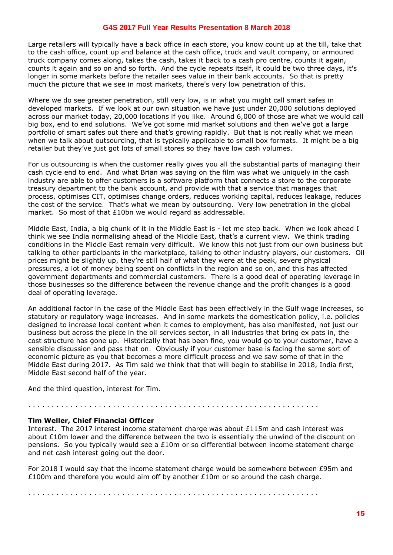Large retailers will typically have a back office in each store, you know count up at the till, take that to the cash office, count up and balance at the cash office, truck and vault company, or armoured truck company comes along, takes the cash, takes it back to a cash pro centre, counts it again, counts it again and so on and so forth. And the cycle repeats itself, it could be two three days, it's longer in some markets before the retailer sees value in their bank accounts. So that is pretty much the picture that we see in most markets, there's very low penetration of this.

Where we do see greater penetration, still very low, is in what you might call smart safes in developed markets. If we look at our own situation we have just under 20,000 solutions deployed across our market today, 20,000 locations if you like. Around 6,000 of those are what we would call big box, end to end solutions. We've got some mid market solutions and then we've got a large portfolio of smart safes out there and that's growing rapidly. But that is not really what we mean when we talk about outsourcing, that is typically applicable to small box formats. It might be a big retailer but they've just got lots of small stores so they have low cash volumes.

For us outsourcing is when the customer really gives you all the substantial parts of managing their cash cycle end to end. And what Brian was saying on the film was what we uniquely in the cash industry are able to offer customers is a software platform that connects a store to the corporate treasury department to the bank account, and provide with that a service that manages that process, optimises CIT, optimises change orders, reduces working capital, reduces leakage, reduces the cost of the service. That's what we mean by outsourcing. Very low penetration in the global market. So most of that £10bn we would regard as addressable.

Middle East, India, a big chunk of it in the Middle East is - let me step back. When we look ahead I think we see India normalising ahead of the Middle East, that's a current view. We think trading conditions in the Middle East remain very difficult. We know this not just from our own business but talking to other participants in the marketplace, talking to other industry players, our customers. Oil prices might be slightly up, they're still half of what they were at the peak, severe physical pressures, a lot of money being spent on conflicts in the region and so on, and this has affected government departments and commercial customers. There is a good deal of operating leverage in those businesses so the difference between the revenue change and the profit changes is a good deal of operating leverage.

An additional factor in the case of the Middle East has been effectively in the Gulf wage increases, so statutory or regulatory wage increases. And in some markets the domestication policy, i.e. policies designed to increase local content when it comes to employment, has also manifested, not just our business but across the piece in the oil services sector, in all industries that bring ex pats in, the cost structure has gone up. Historically that has been fine, you would go to your customer, have a sensible discussion and pass that on. Obviously if your customer base is facing the same sort of economic picture as you that becomes a more difficult process and we saw some of that in the Middle East during 2017. As Tim said we think that that will begin to stabilise in 2018, India first, Middle East second half of the year.

And the third question, interest for Tim.

#### . . . . . . . . . . . . . . . . . . . . . . . . . . . . . . . . . . . . . . . . . . . . . . . . . . . . . . . . . . . . . .

## **Tim Weller, Chief Financial Officer**

Interest. The 2017 interest income statement charge was about £115m and cash interest was about £10m lower and the difference between the two is essentially the unwind of the discount on pensions. So you typically would see a £10m or so differential between income statement charge and net cash interest going out the door.

For 2018 I would say that the income statement charge would be somewhere between £95m and £100m and therefore you would aim off by another  $£10m$  or so around the cash charge.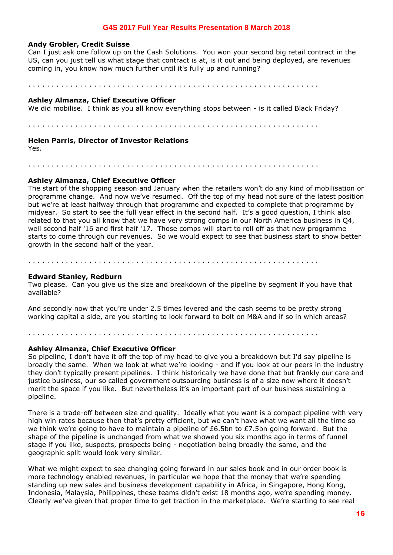#### **Andy Grobler, Credit Suisse**

Can I just ask one follow up on the Cash Solutions. You won your second big retail contract in the US, can you just tell us what stage that contract is at, is it out and being deployed, are revenues coming in, you know how much further until it's fully up and running?

. . . . . . . . . . . . . . . . . . . . . . . . . . . . . . . . . . . . . . . . . . . . . . . . . . . . . . . . . . . . . .

#### **Ashley Almanza, Chief Executive Officer**

We did mobilise. I think as you all know everything stops between - is it called Black Friday?

. . . . . . . . . . . . . . . . . . . . . . . . . . . . . . . . . . . . . . . . . . . . . . . . . . . . . . . . . . . . . .

#### **Helen Parris, Director of Investor Relations**

Yes.

. . . . . . . . . . . . . . . . . . . . . . . . . . . . . . . . . . . . . . . . . . . . . . . . . . . . . . . . . . . . . .

#### **Ashley Almanza, Chief Executive Officer**

The start of the shopping season and January when the retailers won't do any kind of mobilisation or programme change. And now we've resumed. Off the top of my head not sure of the latest position but we're at least halfway through that programme and expected to complete that programme by midyear. So start to see the full year effect in the second half. It's a good question, I think also related to that you all know that we have very strong comps in our North America business in Q4, well second half '16 and first half '17. Those comps will start to roll off as that new programme starts to come through our revenues. So we would expect to see that business start to show better growth in the second half of the year.

. . . . . . . . . . . . . . . . . . . . . . . . . . . . . . . . . . . . . . . . . . . . . . . . . . . . . . . . . . . . . .

#### **Edward Stanley, Redburn**

Two please. Can you give us the size and breakdown of the pipeline by segment if you have that available?

And secondly now that you're under 2.5 times levered and the cash seems to be pretty strong working capital a side, are you starting to look forward to bolt on M&A and if so in which areas?

. . . . . . . . . . . . . . . . . . . . . . . . . . . . . . . . . . . . . . . . . . . . . . . . . . . . . . . . . . . . . .

#### **Ashley Almanza, Chief Executive Officer**

So pipeline, I don't have it off the top of my head to give you a breakdown but I'd say pipeline is broadly the same. When we look at what we're looking - and if you look at our peers in the industry they don't typically present pipelines. I think historically we have done that but frankly our care and justice business, our so called government outsourcing business is of a size now where it doesn't merit the space if you like. But nevertheless it's an important part of our business sustaining a pipeline.

There is a trade-off between size and quality. Ideally what you want is a compact pipeline with very high win rates because then that's pretty efficient, but we can't have what we want all the time so we think we're going to have to maintain a pipeline of £6.5bn to £7.5bn going forward. But the shape of the pipeline is unchanged from what we showed you six months ago in terms of funnel stage if you like, suspects, prospects being - negotiation being broadly the same, and the geographic split would look very similar.

What we might expect to see changing going forward in our sales book and in our order book is more technology enabled revenues, in particular we hope that the money that we're spending standing up new sales and business development capability in Africa, in Singapore, Hong Kong, Indonesia, Malaysia, Philippines, these teams didn't exist 18 months ago, we're spending money. Clearly we've given that proper time to get traction in the marketplace. We're starting to see real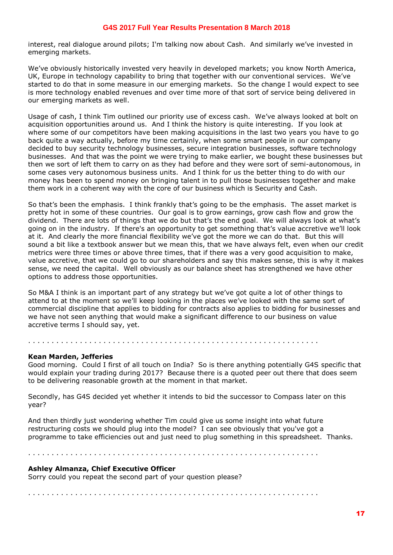interest, real dialogue around pilots; I'm talking now about Cash. And similarly we've invested in emerging markets.

We've obviously historically invested very heavily in developed markets; you know North America, UK, Europe in technology capability to bring that together with our conventional services. We've started to do that in some measure in our emerging markets. So the change I would expect to see is more technology enabled revenues and over time more of that sort of service being delivered in our emerging markets as well.

Usage of cash, I think Tim outlined our priority use of excess cash. We've always looked at bolt on acquisition opportunities around us. And I think the history is quite interesting. If you look at where some of our competitors have been making acquisitions in the last two years you have to go back quite a way actually, before my time certainly, when some smart people in our company decided to buy security technology businesses, secure integration businesses, software technology businesses. And that was the point we were trying to make earlier, we bought these businesses but then we sort of left them to carry on as they had before and they were sort of semi-autonomous, in some cases very autonomous business units. And I think for us the better thing to do with our money has been to spend money on bringing talent in to pull those businesses together and make them work in a coherent way with the core of our business which is Security and Cash.

So that's been the emphasis. I think frankly that's going to be the emphasis. The asset market is pretty hot in some of these countries. Our goal is to grow earnings, grow cash flow and grow the dividend. There are lots of things that we do but that's the end goal. We will always look at what's going on in the industry. If there's an opportunity to get something that's value accretive we'll look at it. And clearly the more financial flexibility we've got the more we can do that. But this will sound a bit like a textbook answer but we mean this, that we have always felt, even when our credit metrics were three times or above three times, that if there was a very good acquisition to make, value accretive, that we could go to our shareholders and say this makes sense, this is why it makes sense, we need the capital. Well obviously as our balance sheet has strengthened we have other options to address those opportunities.

So M&A I think is an important part of any strategy but we've got quite a lot of other things to attend to at the moment so we'll keep looking in the places we've looked with the same sort of commercial discipline that applies to bidding for contracts also applies to bidding for businesses and we have not seen anything that would make a significant difference to our business on value accretive terms I should say, yet.

. . . . . . . . . . . . . . . . . . . . . . . . . . . . . . . . . . . . . . . . . . . . . . . . . . . . . . . . . . . . . .

#### **Kean Marden, Jefferies**

Good morning. Could I first of all touch on India? So is there anything potentially G4S specific that would explain your trading during 2017? Because there is a quoted peer out there that does seem to be delivering reasonable growth at the moment in that market.

Secondly, has G4S decided yet whether it intends to bid the successor to Compass later on this year?

And then thirdly just wondering whether Tim could give us some insight into what future restructuring costs we should plug into the model? I can see obviously that you've got a programme to take efficiencies out and just need to plug something in this spreadsheet. Thanks.

. . . . . . . . . . . . . . . . . . . . . . . . . . . . . . . . . . . . . . . . . . . . . . . . . . . . . . . . . . . . . .

#### **Ashley Almanza, Chief Executive Officer**

Sorry could you repeat the second part of your question please?

. . . . . . . . . . . . . . . . . . . . . . . . . . . . . . . . . . . . . . . . . . . . . . . . . . . . . . . . . . . . . .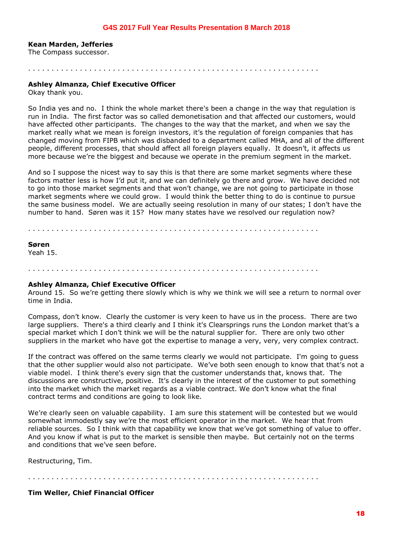#### **Kean Marden, Jefferies**

The Compass successor.

. . . . . . . . . . . . . . . . . . . . . . . . . . . . . . . . . . . . . . . . . . . . . . . . . . . . . . . . . . . . . .

## **Ashley Almanza, Chief Executive Officer**

Okay thank you.

So India yes and no. I think the whole market there's been a change in the way that regulation is run in India. The first factor was so called demonetisation and that affected our customers, would have affected other participants. The changes to the way that the market, and when we say the market really what we mean is foreign investors, it's the regulation of foreign companies that has changed moving from FIPB which was disbanded to a department called MHA, and all of the different people, different processes, that should affect all foreign players equally. It doesn't, it affects us more because we're the biggest and because we operate in the premium segment in the market.

And so I suppose the nicest way to say this is that there are some market segments where these factors matter less is how I'd put it, and we can definitely go there and grow. We have decided not to go into those market segments and that won't change, we are not going to participate in those market segments where we could grow. I would think the better thing to do is continue to pursue the same business model. We are actually seeing resolution in many of our states; I don't have the number to hand. Søren was it 15? How many states have we resolved our regulation now?

. . . . . . . . . . . . . . . . . . . . . . . . . . . . . . . . . . . . . . . . . . . . . . . . . . . . . . . . . . . . . .

## **Søren**

Yeah 15.

. . . . . . . . . . . . . . . . . . . . . . . . . . . . . . . . . . . . . . . . . . . . . . . . . . . . . . . . . . . . . .

#### **Ashley Almanza, Chief Executive Officer**

Around 15. So we're getting there slowly which is why we think we will see a return to normal over time in India.

Compass, don't know. Clearly the customer is very keen to have us in the process. There are two large suppliers. There's a third clearly and I think it's Clearsprings runs the London market that's a special market which I don't think we will be the natural supplier for. There are only two other suppliers in the market who have got the expertise to manage a very, very, very complex contract.

If the contract was offered on the same terms clearly we would not participate. I'm going to guess that the other supplier would also not participate. We've both seen enough to know that that's not a viable model. I think there's every sign that the customer understands that, knows that. The discussions are constructive, positive. It's clearly in the interest of the customer to put something into the market which the market regards as a viable contract. We don't know what the final contract terms and conditions are going to look like.

We're clearly seen on valuable capability. I am sure this statement will be contested but we would somewhat immodestly say we're the most efficient operator in the market. We hear that from reliable sources. So I think with that capability we know that we've got something of value to offer. And you know if what is put to the market is sensible then maybe. But certainly not on the terms and conditions that we've seen before.

Restructuring, Tim.

. . . . . . . . . . . . . . . . . . . . . . . . . . . . . . . . . . . . . . . . . . . . . . . . . . . . . . . . . . . . . .

**Tim Weller, Chief Financial Officer**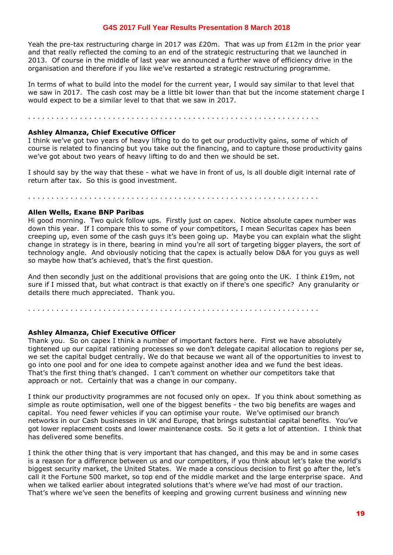Yeah the pre-tax restructuring charge in 2017 was  $E20m$ . That was up from  $E12m$  in the prior year and that really reflected the coming to an end of the strategic restructuring that we launched in 2013. Of course in the middle of last year we announced a further wave of efficiency drive in the organisation and therefore if you like we've restarted a strategic restructuring programme.

In terms of what to build into the model for the current year, I would say similar to that level that we saw in 2017. The cash cost may be a little bit lower than that but the income statement charge I would expect to be a similar level to that that we saw in 2017.

. . . . . . . . . . . . . . . . . . . . . . . . . . . . . . . . . . . . . . . . . . . . . . . . . . . . . . . . . . . . . .

#### **Ashley Almanza, Chief Executive Officer**

I think we've got two years of heavy lifting to do to get our productivity gains, some of which of course is related to financing but you take out the financing, and to capture those productivity gains we've got about two years of heavy lifting to do and then we should be set.

I should say by the way that these - what we have in front of us, is all double digit internal rate of return after tax. So this is good investment.

. . . . . . . . . . . . . . . . . . . . . . . . . . . . . . . . . . . . . . . . . . . . . . . . . . . . . . . . . . . . . .

#### **Allen Wells, Exane BNP Paribas**

Hi good morning. Two quick follow ups. Firstly just on capex. Notice absolute capex number was down this year. If I compare this to some of your competitors, I mean Securitas capex has been creeping up, even some of the cash guys it's been going up. Maybe you can explain what the slight change in strategy is in there, bearing in mind you're all sort of targeting bigger players, the sort of technology angle. And obviously noticing that the capex is actually below D&A for you guys as well so maybe how that's achieved, that's the first question.

And then secondly just on the additional provisions that are going onto the UK. I think £19m, not sure if I missed that, but what contract is that exactly on if there's one specific? Any granularity or details there much appreciated. Thank you.

. . . . . . . . . . . . . . . . . . . . . . . . . . . . . . . . . . . . . . . . . . . . . . . . . . . . . . . . . . . . . .

#### **Ashley Almanza, Chief Executive Officer**

Thank you. So on capex I think a number of important factors here. First we have absolutely tightened up our capital rationing processes so we don't delegate capital allocation to regions per se, we set the capital budget centrally. We do that because we want all of the opportunities to invest to go into one pool and for one idea to compete against another idea and we fund the best ideas. That's the first thing that's changed. I can't comment on whether our competitors take that approach or not. Certainly that was a change in our company.

I think our productivity programmes are not focused only on opex. If you think about something as simple as route optimisation, well one of the biggest benefits - the two big benefits are wages and capital. You need fewer vehicles if you can optimise your route. We've optimised our branch networks in our Cash businesses in UK and Europe, that brings substantial capital benefits. You've got lower replacement costs and lower maintenance costs. So it gets a lot of attention. I think that has delivered some benefits.

I think the other thing that is very important that has changed, and this may be and in some cases is a reason for a difference between us and our competitors, if you think about let's take the world's biggest security market, the United States. We made a conscious decision to first go after the, let's call it the Fortune 500 market, so top end of the middle market and the large enterprise space. And when we talked earlier about integrated solutions that's where we've had most of our traction. That's where we've seen the benefits of keeping and growing current business and winning new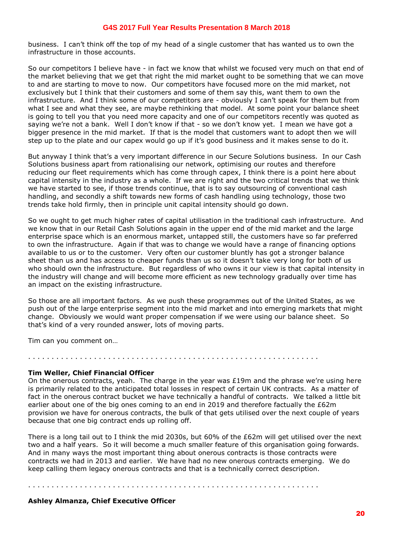business. I can't think off the top of my head of a single customer that has wanted us to own the infrastructure in those accounts.

So our competitors I believe have - in fact we know that whilst we focused very much on that end of the market believing that we get that right the mid market ought to be something that we can move to and are starting to move to now. Our competitors have focused more on the mid market, not exclusively but I think that their customers and some of them say this, want them to own the infrastructure. And I think some of our competitors are - obviously I can't speak for them but from what I see and what they see, are maybe rethinking that model. At some point your balance sheet is going to tell you that you need more capacity and one of our competitors recently was quoted as saying we're not a bank. Well I don't know if that - so we don't know yet. I mean we have got a bigger presence in the mid market. If that is the model that customers want to adopt then we will step up to the plate and our capex would go up if it's good business and it makes sense to do it.

But anyway I think that's a very important difference in our Secure Solutions business. In our Cash Solutions business apart from rationalising our network, optimising our routes and therefore reducing our fleet requirements which has come through capex, I think there is a point here about capital intensity in the industry as a whole. If we are right and the two critical trends that we think we have started to see, if those trends continue, that is to say outsourcing of conventional cash handling, and secondly a shift towards new forms of cash handling using technology, those two trends take hold firmly, then in principle unit capital intensity should go down.

So we ought to get much higher rates of capital utilisation in the traditional cash infrastructure. And we know that in our Retail Cash Solutions again in the upper end of the mid market and the large enterprise space which is an enormous market, untapped still, the customers have so far preferred to own the infrastructure. Again if that was to change we would have a range of financing options available to us or to the customer. Very often our customer bluntly has got a stronger balance sheet than us and has access to cheaper funds than us so it doesn't take very long for both of us who should own the infrastructure. But regardless of who owns it our view is that capital intensity in the industry will change and will become more efficient as new technology gradually over time has an impact on the existing infrastructure.

So those are all important factors. As we push these programmes out of the United States, as we push out of the large enterprise segment into the mid market and into emerging markets that might change. Obviously we would want proper compensation if we were using our balance sheet. So that's kind of a very rounded answer, lots of moving parts.

Tim can you comment on…

## **Tim Weller, Chief Financial Officer**

On the onerous contracts, yeah. The charge in the year was  $E19m$  and the phrase we're using here is primarily related to the anticipated total losses in respect of certain UK contracts. As a matter of fact in the onerous contract bucket we have technically a handful of contracts. We talked a little bit earlier about one of the big ones coming to an end in 2019 and therefore factually the £62m provision we have for onerous contracts, the bulk of that gets utilised over the next couple of years because that one big contract ends up rolling off.

. . . . . . . . . . . . . . . . . . . . . . . . . . . . . . . . . . . . . . . . . . . . . . . . . . . . . . . . . . . . . .

There is a long tail out to I think the mid 2030s, but 60% of the £62m will get utilised over the next two and a half years. So it will become a much smaller feature of this organisation going forwards. And in many ways the most important thing about onerous contracts is those contracts were contracts we had in 2013 and earlier. We have had no new onerous contracts emerging. We do keep calling them legacy onerous contracts and that is a technically correct description.

. . . . . . . . . . . . . . . . . . . . . . . . . . . . . . . . . . . . . . . . . . . . . . . . . . . . . . . . . . . . . .

## **Ashley Almanza, Chief Executive Officer**